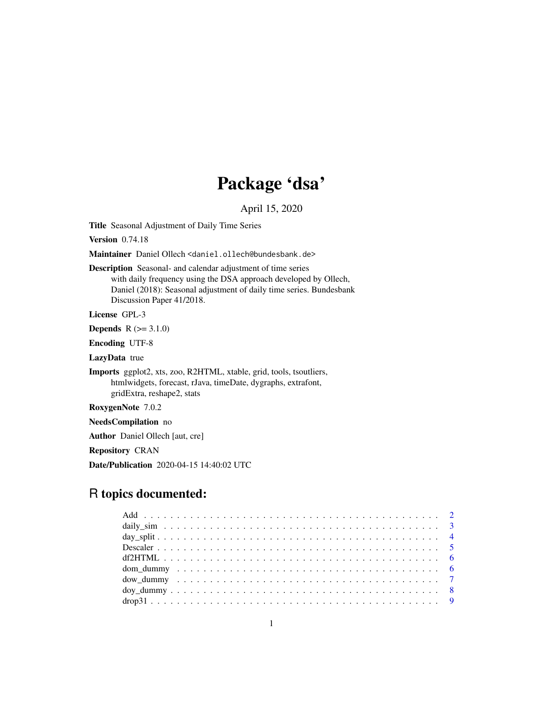# Package 'dsa'

April 15, 2020

Title Seasonal Adjustment of Daily Time Series

**Version** 0.74.18

Maintainer Daniel Ollech <daniel.ollech@bundesbank.de>

Description Seasonal- and calendar adjustment of time series with daily frequency using the DSA approach developed by Ollech, Daniel (2018): Seasonal adjustment of daily time series. Bundesbank Discussion Paper 41/2018.

License GPL-3

**Depends**  $R (= 3.1.0)$ 

Encoding UTF-8

LazyData true

Imports ggplot2, xts, zoo, R2HTML, xtable, grid, tools, tsoutliers, htmlwidgets, forecast, rJava, timeDate, dygraphs, extrafont, gridExtra, reshape2, stats

RoxygenNote 7.0.2

NeedsCompilation no

Author Daniel Ollech [aut, cre]

Repository CRAN

Date/Publication 2020-04-15 14:40:02 UTC

# R topics documented:

| $drop31 9$ |  |
|------------|--|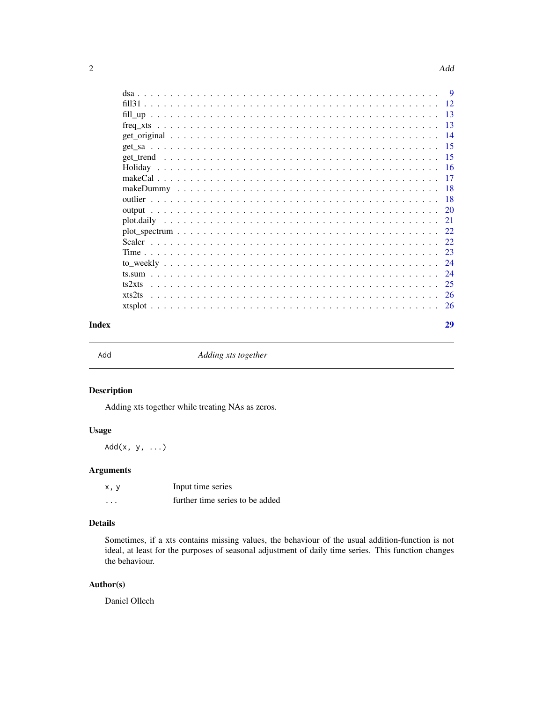<span id="page-1-0"></span>

| ts2xts |  |  |  |  |  |  |  |  |  |  |  |  |  |  |  |
|--------|--|--|--|--|--|--|--|--|--|--|--|--|--|--|--|
| xts2ts |  |  |  |  |  |  |  |  |  |  |  |  |  |  |  |
|        |  |  |  |  |  |  |  |  |  |  |  |  |  |  |  |

Adding xts together

# Description

Adding xts together while treating NAs as zeros.

# Usage

 $Add(x, y, \ldots)$ 

# Arguments

| x, y    | Input time series               |
|---------|---------------------------------|
| $\cdot$ | further time series to be added |

# Details

Sometimes, if a xts contains missing values, the behaviour of the usual addition-function is not ideal, at least for the purposes of seasonal adjustment of daily time series. This function changes the behaviour.

# Author(s)

Daniel Ollech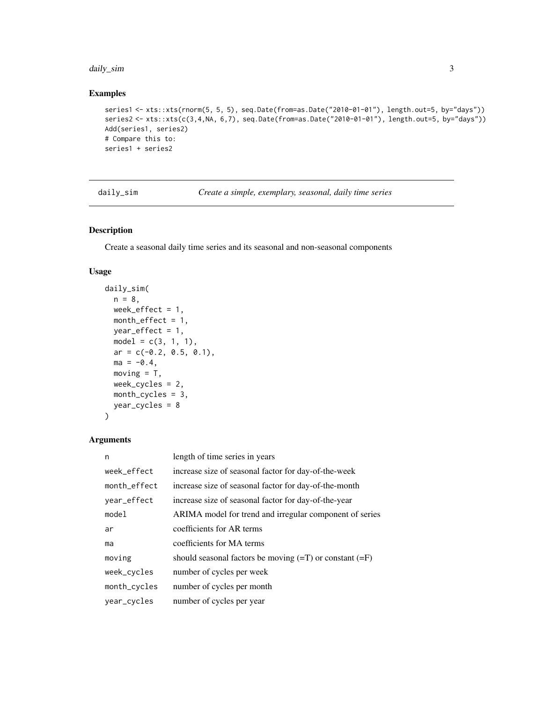#### <span id="page-2-0"></span>daily\_sim 3

# Examples

```
series1 <- xts::xts(rnorm(5, 5, 5), seq.Date(from=as.Date("2010-01-01"), length.out=5, by="days"))
series2 <- xts::xts(c(3,4,NA, 6,7), seq.Date(from=as.Date("2010-01-01"), length.out=5, by="days"))
Add(series1, series2)
# Compare this to:
series1 + series2
```
daily\_sim *Create a simple, exemplary, seasonal, daily time series*

# Description

Create a seasonal daily time series and its seasonal and non-seasonal components

#### Usage

```
daily_sim(
 n = 8,
 week_effect = 1,
 month_effect = 1,
 year\_effect = 1,model = c(3, 1, 1),ar = c(-0.2, 0.5, 0.1),
 ma = -0.4,
 moving = T,
 week_cycles = 2,
 month_cycles = 3,
 year_cycles = 8
)
```
# Arguments

| n            | length of time series in years                              |
|--------------|-------------------------------------------------------------|
| week_effect  | increase size of seasonal factor for day-of-the-week        |
| month_effect | increase size of seasonal factor for day-of-the-month       |
| year_effect  | increase size of seasonal factor for day-of-the-year        |
| model        | ARIMA model for trend and irregular component of series     |
| ar           | coefficients for AR terms                                   |
| ma           | coefficients for MA terms                                   |
| moving       | should seasonal factors be moving $(=T)$ or constant $(=F)$ |
| week_cycles  | number of cycles per week                                   |
| month_cycles | number of cycles per month                                  |
| year_cycles  | number of cycles per year                                   |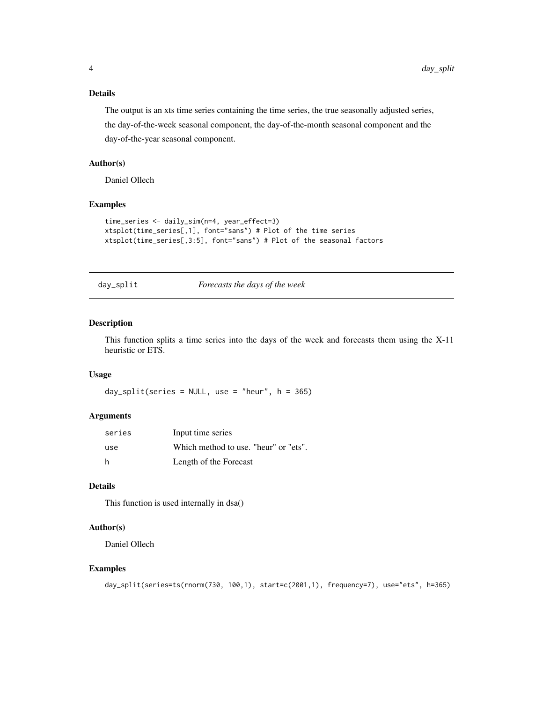# <span id="page-3-0"></span>Details

The output is an xts time series containing the time series, the true seasonally adjusted series, the day-of-the-week seasonal component, the day-of-the-month seasonal component and the day-of-the-year seasonal component.

#### Author(s)

Daniel Ollech

### Examples

```
time_series <- daily_sim(n=4, year_effect=3)
xtsplot(time_series[,1], font="sans") # Plot of the time series
xtsplot(time_series[,3:5], font="sans") # Plot of the seasonal factors
```
day\_split *Forecasts the days of the week*

# Description

This function splits a time series into the days of the week and forecasts them using the X-11 heuristic or ETS.

#### Usage

```
day_split(series = NULL, use = "heur", h = 365)
```
# Arguments

| series | Input time series                     |
|--------|---------------------------------------|
| use    | Which method to use. "heur" or "ets". |
| h.     | Length of the Forecast                |

# Details

This function is used internally in dsa()

# Author(s)

Daniel Ollech

```
day_split(series=ts(rnorm(730, 100,1), start=c(2001,1), frequency=7), use="ets", h=365)
```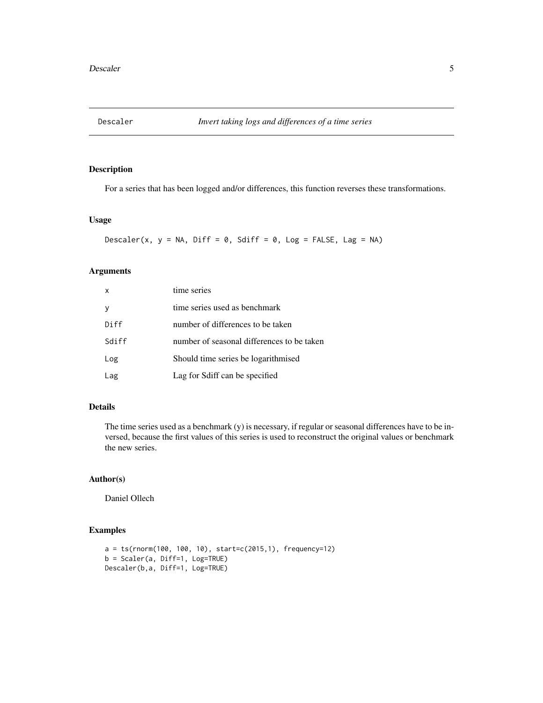<span id="page-4-0"></span>

For a series that has been logged and/or differences, this function reverses these transformations.

#### Usage

Descaler(x,  $y = NA$ , Diff = 0, Sdiff = 0, Log = FALSE, Lag = NA)

# Arguments

| $\mathsf{x}$ | time series                                |
|--------------|--------------------------------------------|
| <sub>V</sub> | time series used as benchmark              |
| Diff         | number of differences to be taken          |
| Sdiff        | number of seasonal differences to be taken |
| Log          | Should time series be logarithmised        |
| Lag          | Lag for Sdiff can be specified             |

#### Details

The time series used as a benchmark (y) is necessary, if regular or seasonal differences have to be inversed, because the first values of this series is used to reconstruct the original values or benchmark the new series.

# Author(s)

Daniel Ollech

```
a = ts(rnorm(100, 100, 10), start=c(2015,1), frequency=12)
b = Scaler(a, Diff=1, Log=TRUE)
Descaler(b,a, Diff=1, Log=TRUE)
```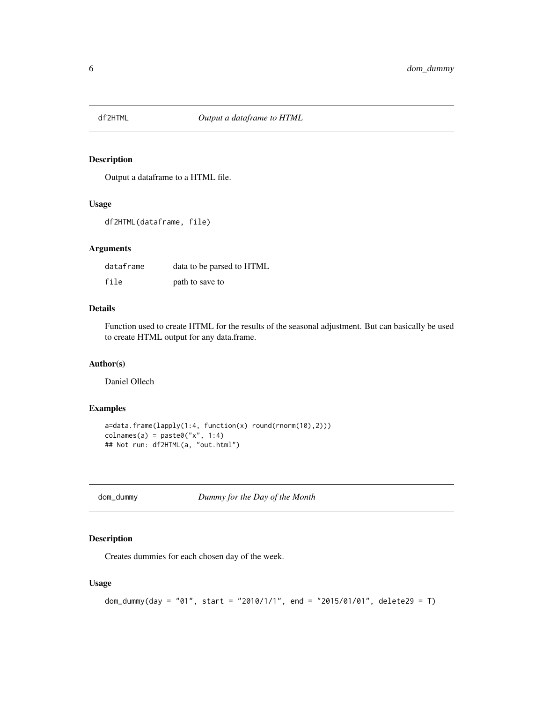<span id="page-5-0"></span>

Output a dataframe to a HTML file.

# Usage

df2HTML(dataframe, file)

# Arguments

| dataframe | data to be parsed to HTML |
|-----------|---------------------------|
| file      | path to save to           |

# Details

Function used to create HTML for the results of the seasonal adjustment. But can basically be used to create HTML output for any data.frame.

# Author(s)

Daniel Ollech

# Examples

```
a=data.frame(lapply(1:4, function(x) round(rnorm(10),2)))
colnames(a) = paste@("x", 1:4)## Not run: df2HTML(a, "out.html")
```
dom\_dummy *Dummy for the Day of the Month*

#### Description

Creates dummies for each chosen day of the week.

#### Usage

```
dom_dummy(day = "01", start = "2010/1/1", end = "2015/01/01", delete29 = T)
```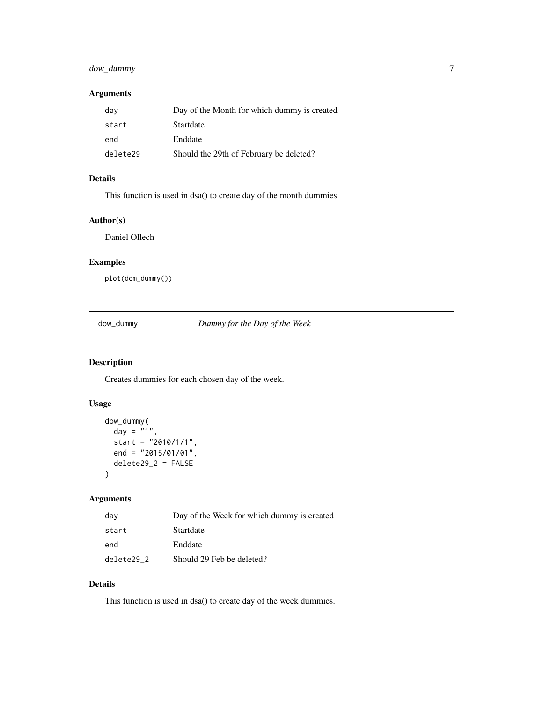# <span id="page-6-0"></span>dow\_dummy 7

# Arguments

| day      | Day of the Month for which dummy is created |
|----------|---------------------------------------------|
| start    | Startdate                                   |
| end      | Enddate                                     |
| delete29 | Should the 29th of February be deleted?     |

# Details

This function is used in dsa() to create day of the month dummies.

#### Author(s)

Daniel Ollech

# Examples

plot(dom\_dummy())

dow\_dummy *Dummy for the Day of the Week*

# Description

Creates dummies for each chosen day of the week.

# Usage

```
dow_dummy(
  day = \overline{''1}",
  start = "2010/1/1",end = "2015/01/01",
  delete29_2 = FALSE
\mathcal{L}
```
# Arguments

| day        | Day of the Week for which dummy is created |
|------------|--------------------------------------------|
| start      | Startdate                                  |
| end        | Enddate                                    |
| delete29 2 | Should 29 Feb be deleted?                  |

# Details

This function is used in dsa() to create day of the week dummies.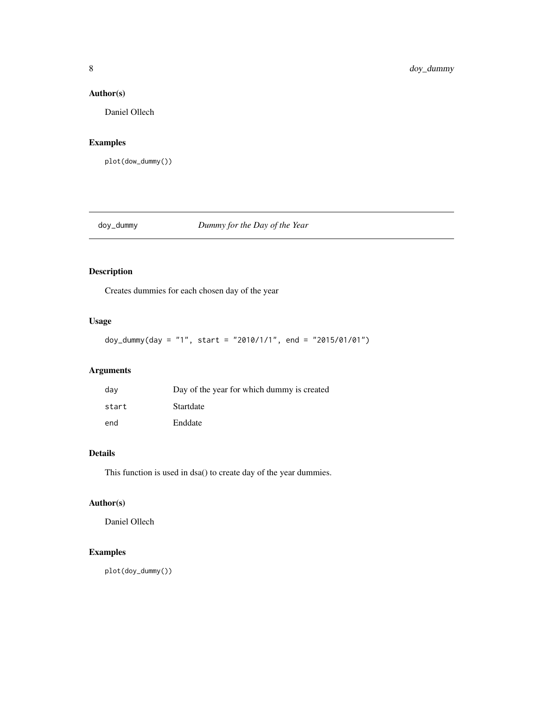# <span id="page-7-0"></span>Author(s)

Daniel Ollech

# Examples

plot(dow\_dummy())

doy\_dummy *Dummy for the Day of the Year*

# Description

Creates dummies for each chosen day of the year

# Usage

doy\_dummy(day = "1", start = "2010/1/1", end = "2015/01/01")

# Arguments

| dav   | Day of the year for which dummy is created |
|-------|--------------------------------------------|
| start | Startdate                                  |
| end   | Enddate                                    |

# Details

This function is used in dsa() to create day of the year dummies.

# Author(s)

Daniel Ollech

# Examples

plot(doy\_dummy())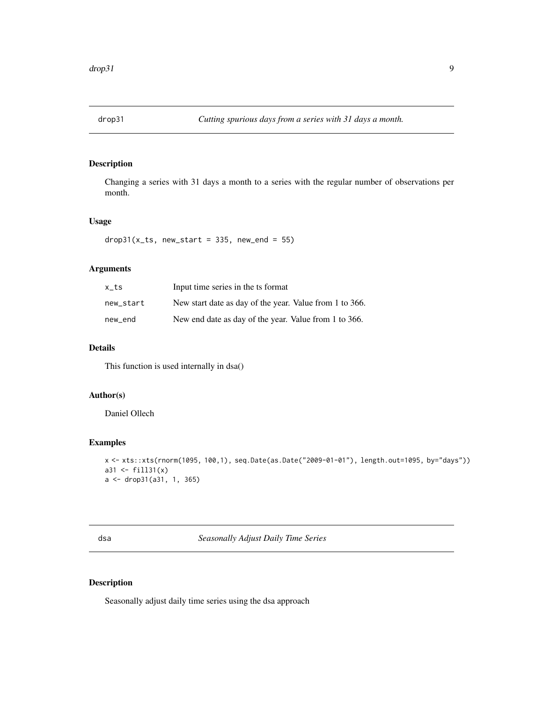<span id="page-8-0"></span>

Changing a series with 31 days a month to a series with the regular number of observations per month.

#### Usage

 $drop31(x_t, new_start = 335, newष_t = 55)$ 

# Arguments

| x ts      | Input time series in the ts format                      |
|-----------|---------------------------------------------------------|
| new start | New start date as day of the year. Value from 1 to 366. |
| new end   | New end date as day of the year. Value from 1 to 366.   |

# Details

This function is used internally in dsa()

# Author(s)

Daniel Ollech

#### Examples

```
x <- xts::xts(rnorm(1095, 100,1), seq.Date(as.Date("2009-01-01"), length.out=1095, by="days"))
a31 <- fill31(x)a <- drop31(a31, 1, 365)
```
dsa *Seasonally Adjust Daily Time Series*

# Description

Seasonally adjust daily time series using the dsa approach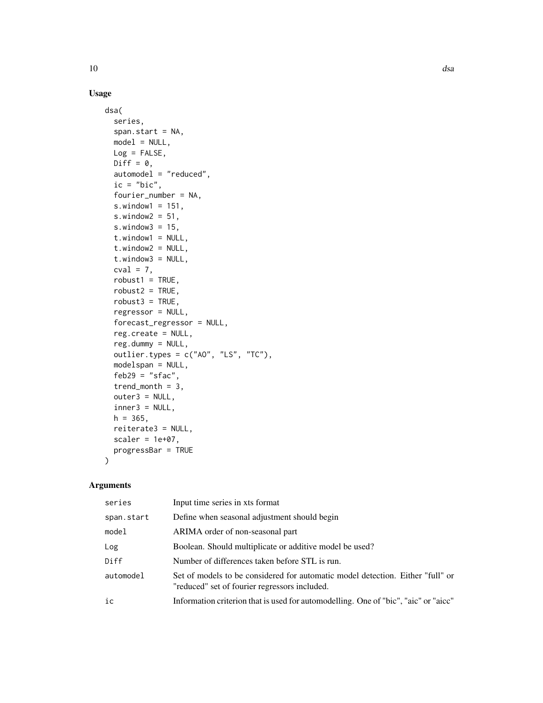# Usage

```
dsa(
  series,
  span.start = NA,
 model = NULL,Log = FALSE,
 Diff = 0,automodel = "reduced",
  ic = "bic",fourier_number = NA,
  s.window1 = 151,
  s.window2 = 51,
  s.window3 = 15,
  t.window1 = NULL,
  t.window2 = NULL,
  t.window3 = NULL,
  cval = 7,
  robust1 = TRUE,robust2 = TRUE,robust3 = TRUE,regressor = NULL,
  forecast_regressor = NULL,
  reg.create = NULL,
  reg.dummy = NULL,
  outlier.types = c("AO", "LS", "TC"),
  modelspan = NULL,
  feb29 = "sfac",trend_month = 3,
  outer3 = NULL,
  inner3 = NULL,h = 365,reiterate3 = NULL,
  scaler = 1e+07,
 progressBar = TRUE
\mathcal{L}
```
# Arguments

| series     | Input time series in xts format                                                                                                 |
|------------|---------------------------------------------------------------------------------------------------------------------------------|
| span.start | Define when seasonal adjustment should begin                                                                                    |
| model      | ARIMA order of non-seasonal part                                                                                                |
| Log        | Boolean. Should multiplicate or additive model be used?                                                                         |
| Diff       | Number of differences taken before STL is run.                                                                                  |
| automodel  | Set of models to be considered for automatic model detection. Either "full" or<br>"reduced" set of fourier regressors included. |
| ic         | Information criterion that is used for automodelling. One of "bic", "aic" or "aicc"                                             |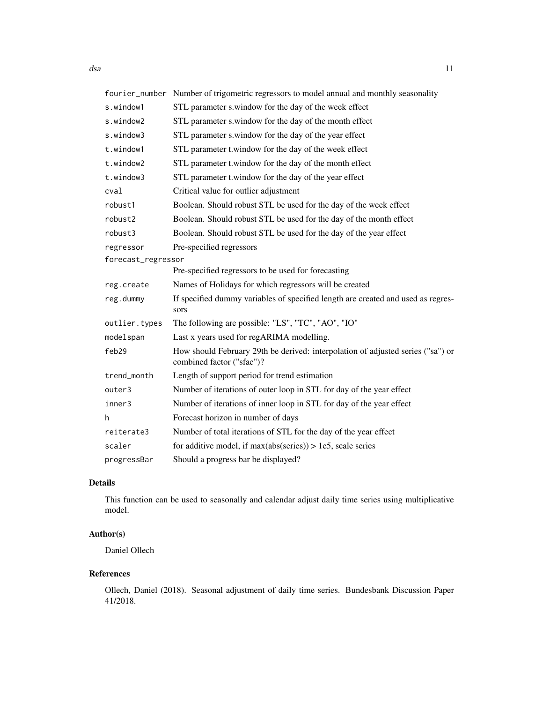|                    | fourier_number Number of trigometric regressors to model annual and monthly seasonality                      |
|--------------------|--------------------------------------------------------------------------------------------------------------|
| s.window1          | STL parameter s.window for the day of the week effect                                                        |
| s.window2          | STL parameter s.window for the day of the month effect                                                       |
| s.window3          | STL parameter s.window for the day of the year effect                                                        |
| t.window1          | STL parameter t.window for the day of the week effect                                                        |
| t.window2          | STL parameter t.window for the day of the month effect                                                       |
| t.window3          | STL parameter t.window for the day of the year effect                                                        |
| cval               | Critical value for outlier adjustment                                                                        |
| robust1            | Boolean. Should robust STL be used for the day of the week effect                                            |
| robust2            | Boolean. Should robust STL be used for the day of the month effect                                           |
| robust3            | Boolean. Should robust STL be used for the day of the year effect                                            |
| regressor          | Pre-specified regressors                                                                                     |
| forecast_regressor |                                                                                                              |
|                    | Pre-specified regressors to be used for forecasting                                                          |
| reg.create         | Names of Holidays for which regressors will be created                                                       |
| reg.dummy          | If specified dummy variables of specified length are created and used as regres-<br>sors                     |
| outlier.types      | The following are possible: "LS", "TC", "AO", "IO"                                                           |
| modelspan          | Last x years used for regARIMA modelling.                                                                    |
| feb29              | How should February 29th be derived: interpolation of adjusted series ("sa") or<br>combined factor ("sfac")? |
| trend_month        | Length of support period for trend estimation                                                                |
| outer3             | Number of iterations of outer loop in STL for day of the year effect                                         |
| inner3             | Number of iterations of inner loop in STL for day of the year effect                                         |
| h                  | Forecast horizon in number of days                                                                           |
| reiterate3         | Number of total iterations of STL for the day of the year effect                                             |
| scaler             | for additive model, if $max(abs(series)) > 1e5$ , scale series                                               |
| progressBar        | Should a progress bar be displayed?                                                                          |

# Details

This function can be used to seasonally and calendar adjust daily time series using multiplicative model.

# Author(s)

Daniel Ollech

# References

Ollech, Daniel (2018). Seasonal adjustment of daily time series. Bundesbank Discussion Paper 41/2018.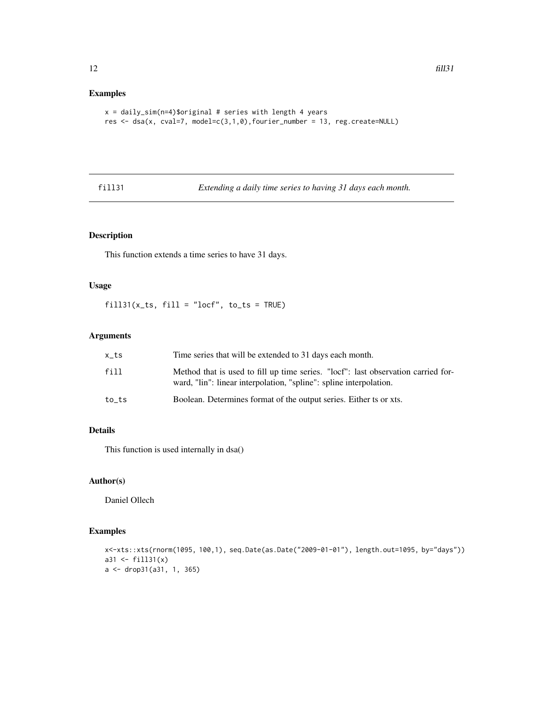# Examples

```
x = \text{daily\_sim}(n=4)$original # series with length 4 years
res <- dsa(x, cval=7, model=c(3,1,0),fourier_number = 13, reg.create=NULL)
```
fill31 *Extending a daily time series to having 31 days each month.*

# Description

This function extends a time series to have 31 days.

#### Usage

 $fill31(x_ts, fill = "locf", to_ts = TRUE)$ 

# Arguments

| x_ts  | Time series that will be extended to 31 days each month.                                                                                                |
|-------|---------------------------------------------------------------------------------------------------------------------------------------------------------|
| fill  | Method that is used to fill up time series. "locf": last observation carried for-<br>ward, "lin": linear interpolation, "spline": spline interpolation. |
| to ts | Boolean. Determines format of the output series. Either ts or xts.                                                                                      |

# Details

This function is used internally in dsa()

# Author(s)

Daniel Ollech

```
x<-xts::xts(rnorm(1095, 100,1), seq.Date(as.Date("2009-01-01"), length.out=1095, by="days"))
a31 <- fill31(x)a <- drop31(a31, 1, 365)
```
<span id="page-11-0"></span>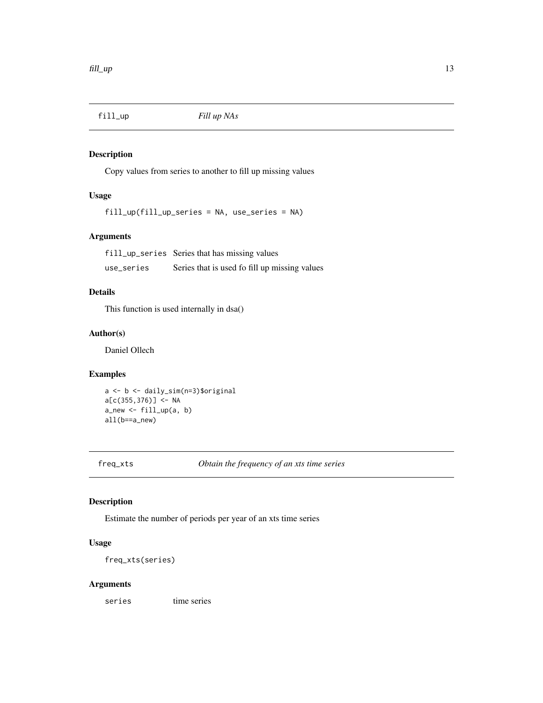<span id="page-12-0"></span>

Copy values from series to another to fill up missing values

# Usage

fill\_up(fill\_up\_series = NA, use\_series = NA)

# Arguments

fill\_up\_series Series that has missing values use\_series Series that is used fo fill up missing values

#### Details

This function is used internally in dsa()

# Author(s)

Daniel Ollech

#### Examples

```
a <- b <- daily_sim(n=3)$original
a[c(355,376)] <- NA
a_new <- fill_up(a, b)
all(b==a_new)
```
freq\_xts *Obtain the frequency of an xts time series*

#### Description

Estimate the number of periods per year of an xts time series

# Usage

freq\_xts(series)

#### Arguments

series time series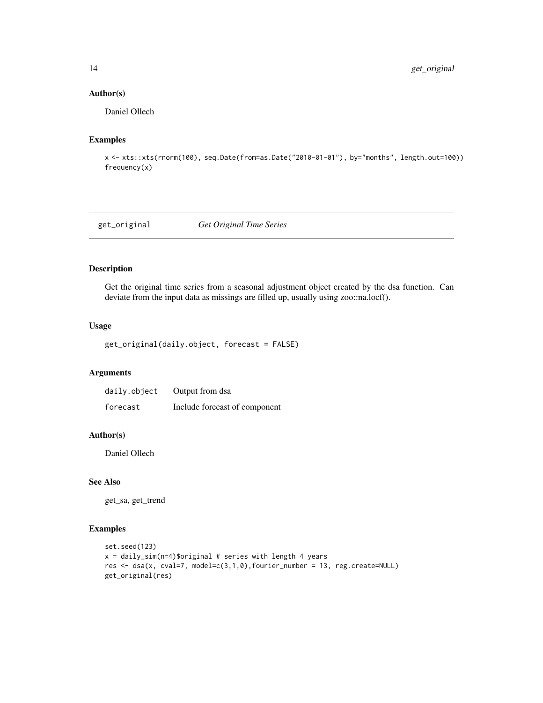# Author(s)

Daniel Ollech

#### Examples

```
x <- xts::xts(rnorm(100), seq.Date(from=as.Date("2010-01-01"), by="months", length.out=100))
frequency(x)
```
get\_original *Get Original Time Series*

# Description

Get the original time series from a seasonal adjustment object created by the dsa function. Can deviate from the input data as missings are filled up, usually using zoo::na.locf().

#### Usage

```
get_original(daily.object, forecast = FALSE)
```
# Arguments

| daily.object | Output from dsa               |
|--------------|-------------------------------|
| forecast     | Include forecast of component |

### Author(s)

Daniel Ollech

# See Also

get\_sa, get\_trend

```
set.seed(123)
x = \text{daily\_sim}(n=4)$original # series with length 4 years
res <- dsa(x, cval=7, model=c(3,1,0),fourier_number = 13, reg.create=NULL)
get_original(res)
```
<span id="page-13-0"></span>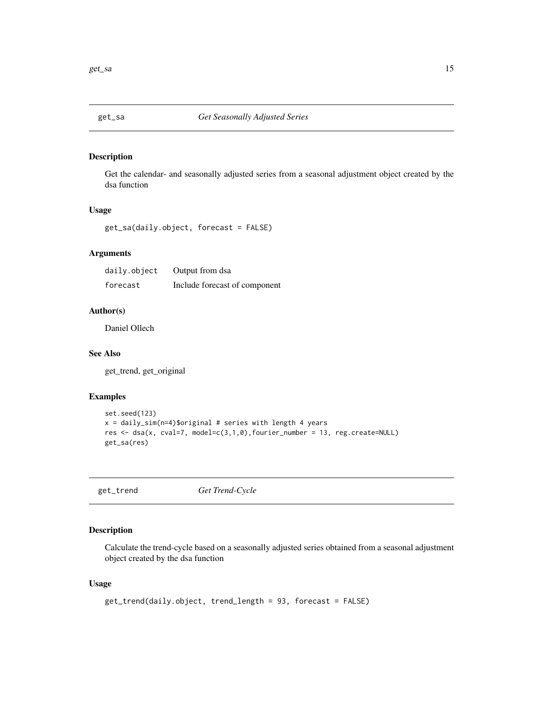<span id="page-14-0"></span>

Get the calendar- and seasonally adjusted series from a seasonal adjustment object created by the dsa function

# Usage

get\_sa(daily.object, forecast = FALSE)

# Arguments

| daily.object | Output from dsa               |
|--------------|-------------------------------|
| forecast     | Include forecast of component |

#### Author(s)

Daniel Ollech

#### See Also

get\_trend, get\_original

# Examples

```
set.seed(123)
x = \text{daily\_sim}(n=4)$original # series with length 4 years
res \le dsa(x, cval=7, model=c(3,1,0), fourier_number = 13, reg.create=NULL)
get_sa(res)
```
get\_trend *Get Trend-Cycle*

# Description

Calculate the trend-cycle based on a seasonally adjusted series obtained from a seasonal adjustment object created by the dsa function

#### Usage

```
get_trend(daily.object, trend_length = 93, forecast = FALSE)
```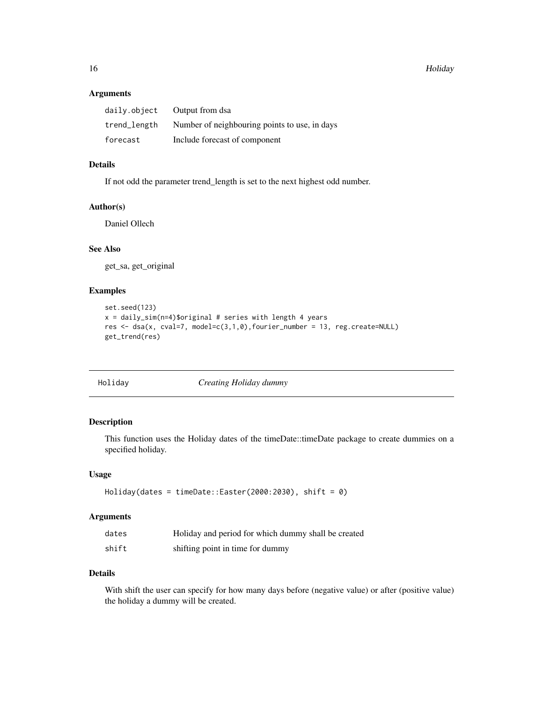# <span id="page-15-0"></span>Arguments

| daily.object | Output from dsa                               |
|--------------|-----------------------------------------------|
| trend_length | Number of neighbouring points to use, in days |
| forecast     | Include forecast of component                 |

# Details

If not odd the parameter trend\_length is set to the next highest odd number.

#### Author(s)

Daniel Ollech

# See Also

get\_sa, get\_original

#### Examples

```
set.seed(123)
x = \text{daily\_sim}(n=4)$original # series with length 4 years
res <- dsa(x, cval=7, model=c(3,1,0),fourier_number = 13, reg.create=NULL)
get_trend(res)
```
Holiday *Creating Holiday dummy*

# Description

This function uses the Holiday dates of the timeDate::timeDate package to create dummies on a specified holiday.

#### Usage

```
Holiday(dates = timeDate::Easter(2000:2030), shift = 0)
```
#### Arguments

| dates | Holiday and period for which dummy shall be created |
|-------|-----------------------------------------------------|
| shift | shifting point in time for dummy                    |

#### Details

With shift the user can specify for how many days before (negative value) or after (positive value) the holiday a dummy will be created.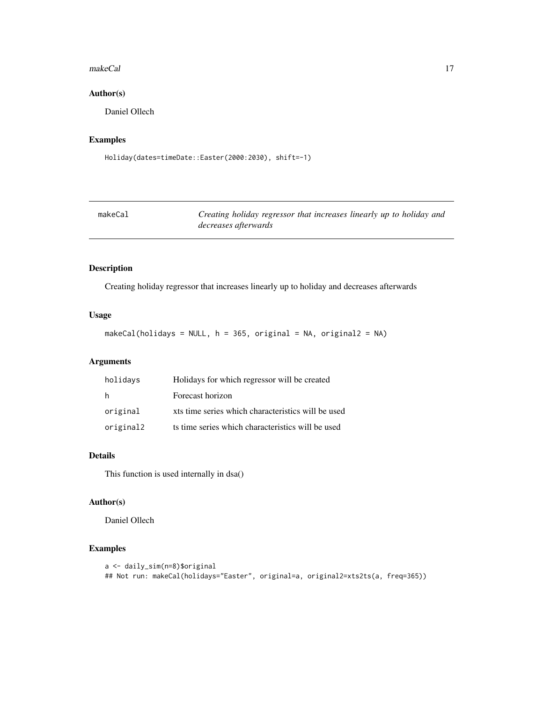#### <span id="page-16-0"></span>makeCal and the contract of the contract of the contract of the contract of the contract of the contract of the contract of the contract of the contract of the contract of the contract of the contract of the contract of th

# Author(s)

Daniel Ollech

# Examples

```
Holiday(dates=timeDate::Easter(2000:2030), shift=-1)
```

| makeCal | Creating holiday regressor that increases linearly up to holiday and |
|---------|----------------------------------------------------------------------|
|         | <i>decreases afterwards</i>                                          |

# Description

Creating holiday regressor that increases linearly up to holiday and decreases afterwards

### Usage

makeCal(holidays = NULL, h = 365, original = NA, original2 = NA)

# Arguments

| holidays  | Holidays for which regressor will be created       |
|-----------|----------------------------------------------------|
| h         | Forecast horizon                                   |
| original  | xts time series which characteristics will be used |
| original2 | ts time series which characteristics will be used  |

# Details

This function is used internally in dsa()

# Author(s)

Daniel Ollech

```
a <- daily_sim(n=8)$original
## Not run: makeCal(holidays="Easter", original=a, original2=xts2ts(a, freq=365))
```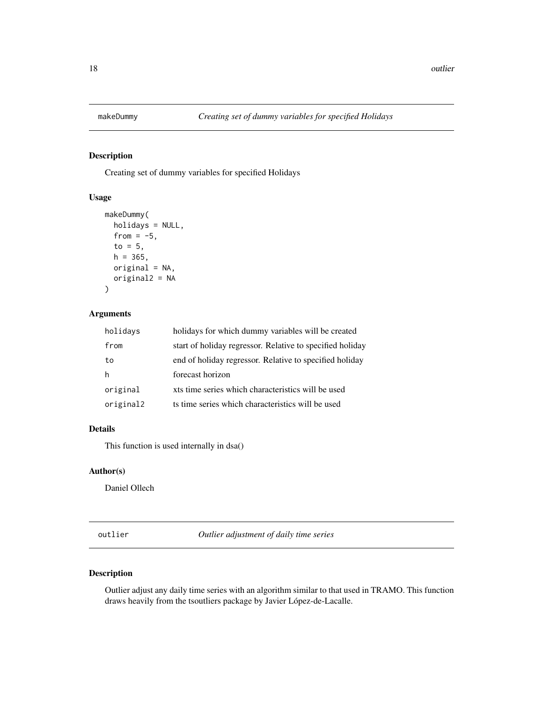<span id="page-17-0"></span>

Creating set of dummy variables for specified Holidays

#### Usage

```
makeDummy(
  holidays = NULL,
  from = -5,
  to = 5,
  h = 365,original = NA,
  original2 = NA
\mathcal{E}
```
# Arguments

| holidays  | holidays for which dummy variables will be created        |
|-----------|-----------------------------------------------------------|
| from      | start of holiday regressor. Relative to specified holiday |
| to        | end of holiday regressor. Relative to specified holiday   |
| h         | forecast horizon                                          |
| original  | xts time series which characteristics will be used        |
| original2 | ts time series which characteristics will be used         |

#### Details

This function is used internally in dsa()

#### Author(s)

Daniel Ollech

outlier *Outlier adjustment of daily time series*

# Description

Outlier adjust any daily time series with an algorithm similar to that used in TRAMO. This function draws heavily from the tsoutliers package by Javier López-de-Lacalle.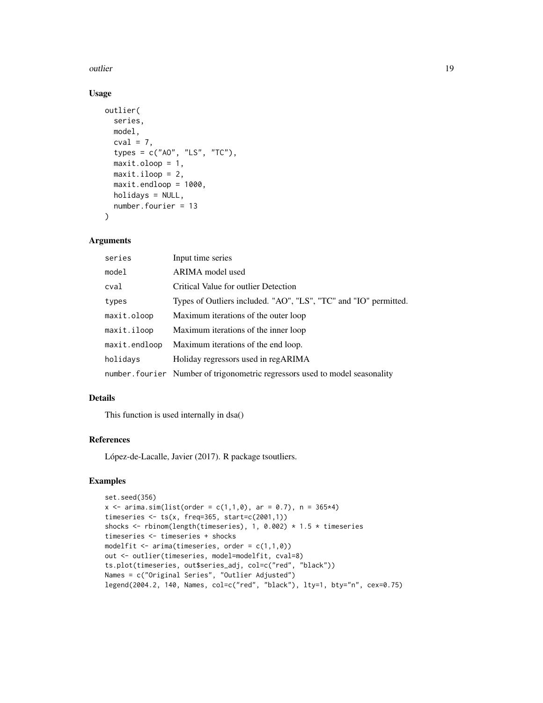#### outlier that the contract of the contract of the contract of the contract of the contract of the contract of the contract of the contract of the contract of the contract of the contract of the contract of the contract of t

# Usage

```
outlier(
  series,
 model,
 cval = 7,
  types = c("AO", "LS", "TC"),
  maxit.oloop = 1,
 maxit.iloop = 2,
 maxit.endloop = 1000,
 holidays = NULL,
  number.fourier = 13
\lambda
```
#### Arguments

| series        | Input time series                                                            |
|---------------|------------------------------------------------------------------------------|
| model         | ARIMA model used                                                             |
| cval          | Critical Value for outlier Detection                                         |
| types         | Types of Outliers included. "AO", "LS", "TC" and "IO" permitted.             |
| maxit.oloop   | Maximum iterations of the outer loop                                         |
| maxit.iloop   | Maximum iterations of the inner loop                                         |
| maxit.endloop | Maximum iterations of the end loop.                                          |
| holidays      | Holiday regressors used in regARIMA                                          |
|               | number. fourier Number of trigonometric regressors used to model seasonality |

#### Details

This function is used internally in dsa()

# References

López-de-Lacalle, Javier (2017). R package tsoutliers.

```
set.seed(356)
x \le -\arima.sim(list(order = c(1,1,0), ar = 0.7), n = 365*4)timeseries <- ts(x, freq=365, start=c(2001,1))
shocks <- rbinom(length(timeseries), 1, 0.002) * 1.5 * timeseries
timeseries <- timeseries + shocks
modelfit \leq arima(timeseries, order = c(1,1,0))
out <- outlier(timeseries, model=modelfit, cval=8)
ts.plot(timeseries, out$series_adj, col=c("red", "black"))
Names = c("Original Series", "Outlier Adjusted")
legend(2004.2, 140, Names, col=c("red", "black"), lty=1, bty="n", cex=0.75)
```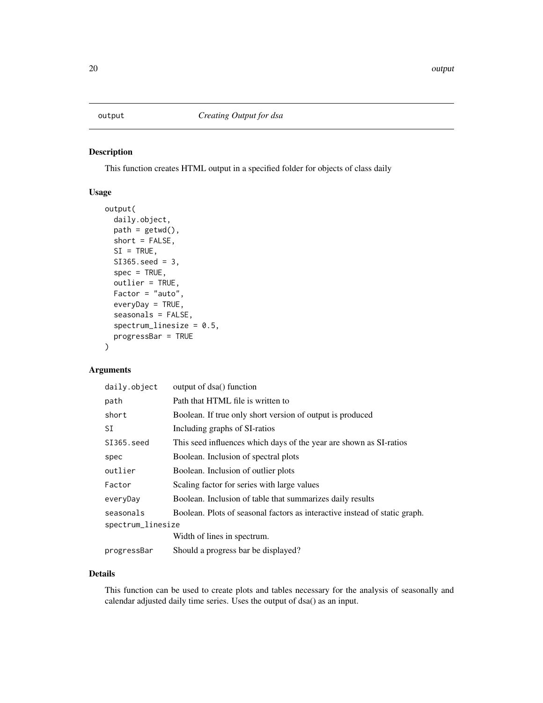<span id="page-19-0"></span>This function creates HTML output in a specified folder for objects of class daily

# Usage

```
output(
  daily.object,
 path = getwd(),
  short = FALSE,
  SI = TRUE,SI365.seed = 3,
  spec = TRUE,outlier = TRUE,
  Factor = "auto",
  everyDay = TRUE,
  seasonals = FALSE,
  spectrum\_linesize = 0.5,
  progressBar = TRUE
)
```
# Arguments

| daily.object      | output of dsa() function                                                   |
|-------------------|----------------------------------------------------------------------------|
| path              | Path that HTML file is written to                                          |
| short             | Boolean. If true only short version of output is produced                  |
| SI                | Including graphs of SI-ratios                                              |
| SI365.seed        | This seed influences which days of the year are shown as SI-ratios         |
| spec              | Boolean. Inclusion of spectral plots                                       |
| outlier           | Boolean. Inclusion of outlier plots                                        |
| Factor            | Scaling factor for series with large values                                |
| everyDay          | Boolean. Inclusion of table that summarizes daily results                  |
| seasonals         | Boolean. Plots of seasonal factors as interactive instead of static graph. |
| spectrum_linesize |                                                                            |
|                   | Width of lines in spectrum.                                                |
| progressBar       | Should a progress bar be displayed?                                        |

# Details

This function can be used to create plots and tables necessary for the analysis of seasonally and calendar adjusted daily time series. Uses the output of dsa() as an input.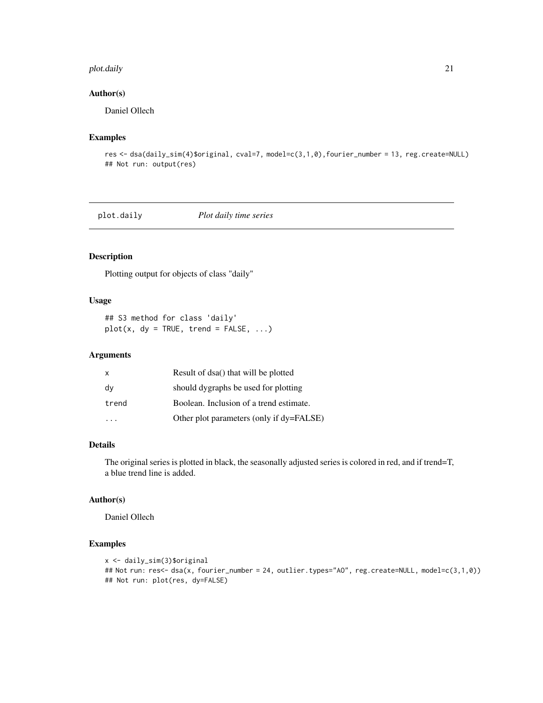#### <span id="page-20-0"></span>plot.daily 21

# Author(s)

Daniel Ollech

# Examples

```
res <- dsa(daily_sim(4)$original, cval=7, model=c(3,1,0),fourier_number = 13, reg.create=NULL)
## Not run: output(res)
```
plot.daily *Plot daily time series*

# Description

Plotting output for objects of class "daily"

#### Usage

```
## S3 method for class 'daily'
plot(x, dy = TRUE, trend = FALSE, ...)
```
#### Arguments

| X     | Result of dsa() that will be plotted     |
|-------|------------------------------------------|
| dy    | should dygraphs be used for plotting     |
| trend | Boolean. Inclusion of a trend estimate.  |
|       | Other plot parameters (only if dy=FALSE) |

#### Details

The original series is plotted in black, the seasonally adjusted series is colored in red, and if trend=T, a blue trend line is added.

#### Author(s)

Daniel Ollech

```
x <- daily_sim(3)$original
## Not run: res<- dsa(x, fourier_number = 24, outlier.types="AO", reg.create=NULL, model=c(3,1,0))
## Not run: plot(res, dy=FALSE)
```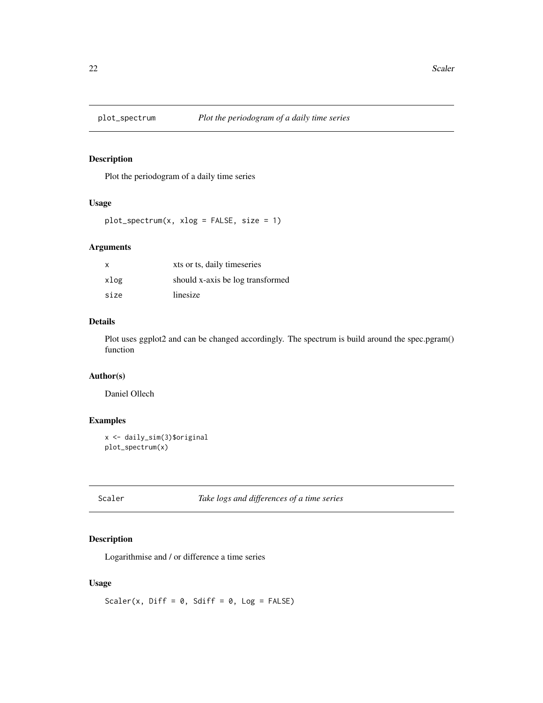<span id="page-21-0"></span>

Plot the periodogram of a daily time series

# Usage

```
plot\_spectrum(x, xlog = FALSE, size = 1)
```
# Arguments

| $\mathsf{x}$ | xts or ts, daily timeseries      |
|--------------|----------------------------------|
| xlog         | should x-axis be log transformed |
| size         | linesize                         |

# Details

Plot uses ggplot2 and can be changed accordingly. The spectrum is build around the spec.pgram() function

# Author(s)

Daniel Ollech

# Examples

```
x <- daily_sim(3)$original
plot_spectrum(x)
```
Scaler *Take logs and differences of a time series*

#### Description

Logarithmise and / or difference a time series

# Usage

Scaler(x, Diff =  $0$ , Sdiff =  $0$ , Log = FALSE)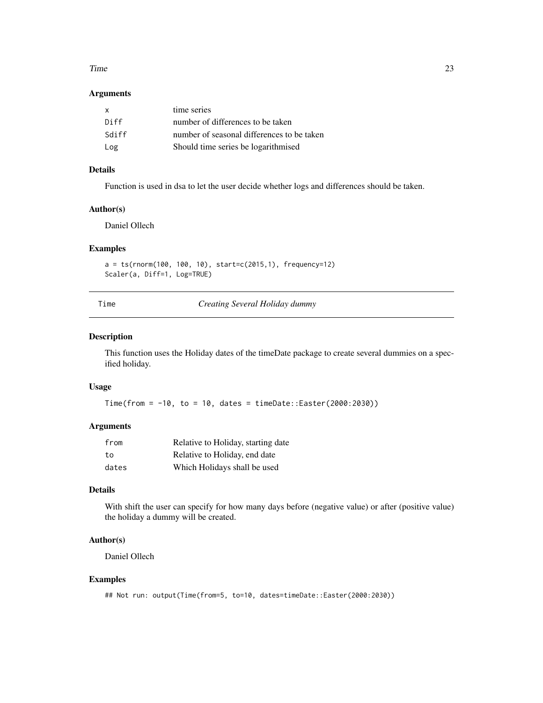#### <span id="page-22-0"></span>Time 23

# Arguments

| $\mathsf{x}$ | time series                                |
|--------------|--------------------------------------------|
| Diff         | number of differences to be taken          |
| Sdiff        | number of seasonal differences to be taken |
| Log          | Should time series be logarithmised        |

# Details

Function is used in dsa to let the user decide whether logs and differences should be taken.

# Author(s)

Daniel Ollech

# Examples

```
a = ts(rnorm(100, 100, 10), start=c(2015,1), frequency=12)
Scaler(a, Diff=1, Log=TRUE)
```
Time *Creating Several Holiday dummy*

# Description

This function uses the Holiday dates of the timeDate package to create several dummies on a specified holiday.

#### Usage

Time(from = -10, to = 10, dates = timeDate::Easter(2000:2030))

#### Arguments

| from  | Relative to Holiday, starting date |
|-------|------------------------------------|
| tο    | Relative to Holiday, end date      |
| dates | Which Holidays shall be used       |

# Details

With shift the user can specify for how many days before (negative value) or after (positive value) the holiday a dummy will be created.

#### Author(s)

Daniel Ollech

```
## Not run: output(Time(from=5, to=10, dates=timeDate::Easter(2000:2030))
```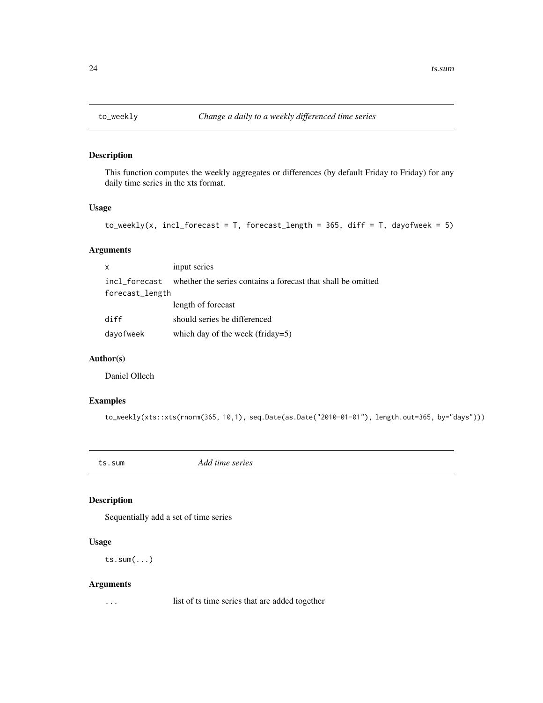<span id="page-23-0"></span>

This function computes the weekly aggregates or differences (by default Friday to Friday) for any daily time series in the xts format.

#### Usage

 $to$  weekly(x, incl\_forecast = T, forecast\_length = 365, diff = T, dayofweek = 5)

# Arguments

| $\mathsf{x}$    | input series                                                 |
|-----------------|--------------------------------------------------------------|
| incl forecast   | whether the series contains a forecast that shall be omitted |
| forecast_length |                                                              |
|                 | length of forecast                                           |
| diff            | should series be differenced                                 |
| dayofweek       | which day of the week (friday=5)                             |

#### Author(s)

Daniel Ollech

# Examples

to\_weekly(xts::xts(rnorm(365, 10,1), seq.Date(as.Date("2010-01-01"), length.out=365, by="days")))

ts.sum *Add time series*

# Description

Sequentially add a set of time series

# Usage

ts.sum(...)

#### Arguments

... list of ts time series that are added together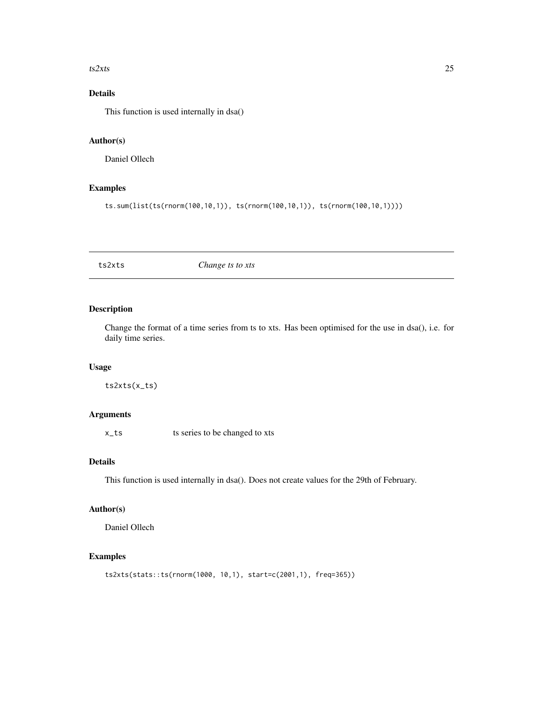#### <span id="page-24-0"></span> $ts2xts$  25

# Details

This function is used internally in dsa()

# Author(s)

Daniel Ollech

# Examples

ts.sum(list(ts(rnorm(100,10,1)), ts(rnorm(100,10,1)), ts(rnorm(100,10,1))))

ts2xts *Change ts to xts*

# Description

Change the format of a time series from ts to xts. Has been optimised for the use in dsa(), i.e. for daily time series.

#### Usage

ts2xts(x\_ts)

# Arguments

x<sub>1</sub>ts ts series to be changed to xts

# Details

This function is used internally in dsa(). Does not create values for the 29th of February.

# Author(s)

Daniel Ollech

```
ts2xts(stats::ts(rnorm(1000, 10,1), start=c(2001,1), freq=365))
```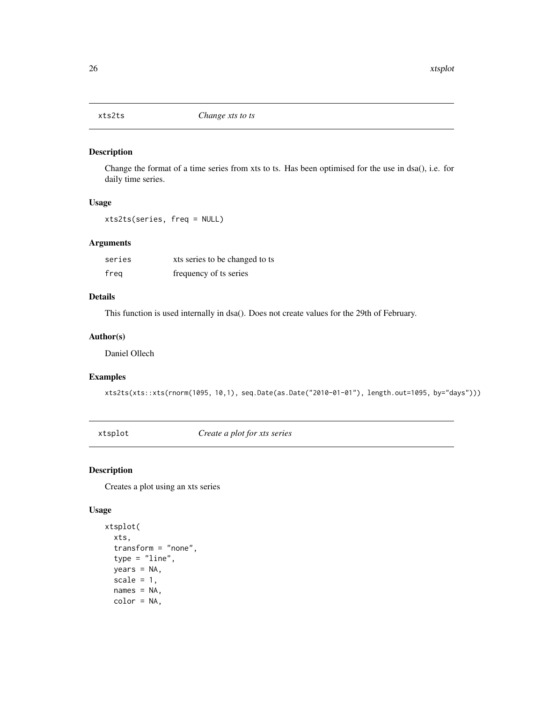<span id="page-25-0"></span>

Change the format of a time series from xts to ts. Has been optimised for the use in dsa(), i.e. for daily time series.

#### Usage

xts2ts(series, freq = NULL)

#### Arguments

| series | xts series to be changed to ts |
|--------|--------------------------------|
| freg   | frequency of ts series         |

# Details

This function is used internally in dsa(). Does not create values for the 29th of February.

### Author(s)

Daniel Ollech

# Examples

xts2ts(xts::xts(rnorm(1095, 10,1), seq.Date(as.Date("2010-01-01"), length.out=1095, by="days")))

xtsplot *Create a plot for xts series*

# Description

Creates a plot using an xts series

#### Usage

```
xtsplot(
  xts,
  transform = "none",
  type = "line",
  years = NA,
  scale = 1,
  names = NA,
  color = NA,
```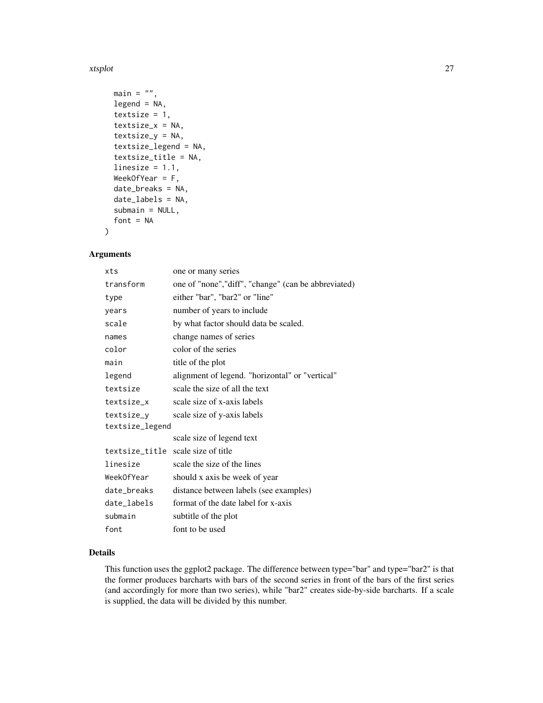#### xtsplot 27

```
main = "",legend = NA,
textsize = 1,
textsize_x = NA,
textsize_y = NA,
textsize_legend = NA,
textsize_title = NA,
linesize = 1.1,
WeekOfYear = F,
date_breaks = NA,
date_labels = NA,
submain = NULL,
font = NA
```
# Arguments

)

| xts             | one or many series                                   |
|-----------------|------------------------------------------------------|
| transform       | one of "none", "diff", "change" (can be abbreviated) |
| type            | either "bar", "bar2" or "line"                       |
| years           | number of years to include                           |
| scale           | by what factor should data be scaled.                |
| names           | change names of series                               |
| color           | color of the series                                  |
| main            | title of the plot                                    |
| legend          | alignment of legend. "horizontal" or "vertical"      |
| textsize        | scale the size of all the text                       |
| textsize_x      | scale size of x-axis labels                          |
| textsize_y      | scale size of y-axis labels                          |
| textsize_legend |                                                      |
|                 | scale size of legend text                            |
|                 | textsize_title scale size of title                   |
| linesize        | scale the size of the lines                          |
| WeekOfYear      | should x axis be week of year                        |
| date_breaks     | distance between labels (see examples)               |
| date_labels     | format of the date label for x-axis                  |
| submain         | subtitle of the plot                                 |
| font            | font to be used                                      |

# Details

This function uses the ggplot2 package. The difference between type="bar" and type="bar2" is that the former produces barcharts with bars of the second series in front of the bars of the first series (and accordingly for more than two series), while "bar2" creates side-by-side barcharts. If a scale is supplied, the data will be divided by this number.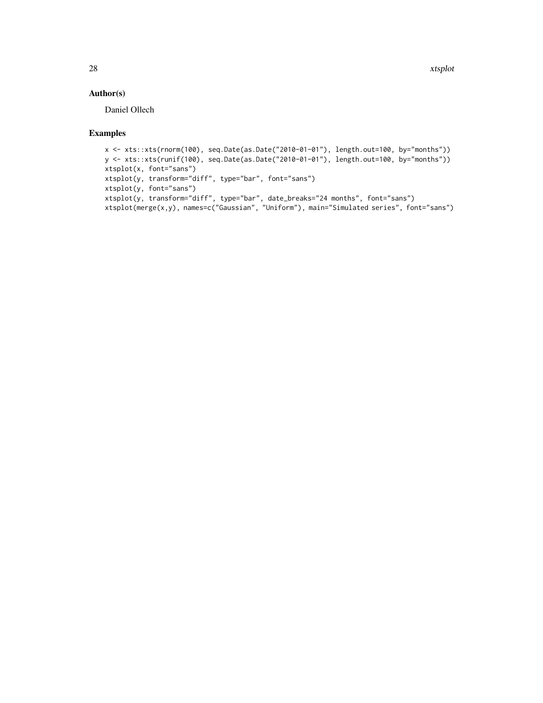# Author(s)

Daniel Ollech

```
x <- xts::xts(rnorm(100), seq.Date(as.Date("2010-01-01"), length.out=100, by="months"))
y <- xts::xts(runif(100), seq.Date(as.Date("2010-01-01"), length.out=100, by="months"))
xtsplot(x, font="sans")
xtsplot(y, transform="diff", type="bar", font="sans")
xtsplot(y, font="sans")
xtsplot(y, transform="diff", type="bar", date_breaks="24 months", font="sans")
xtsplot(merge(x,y), names=c("Gaussian", "Uniform"), main="Simulated series", font="sans")
```